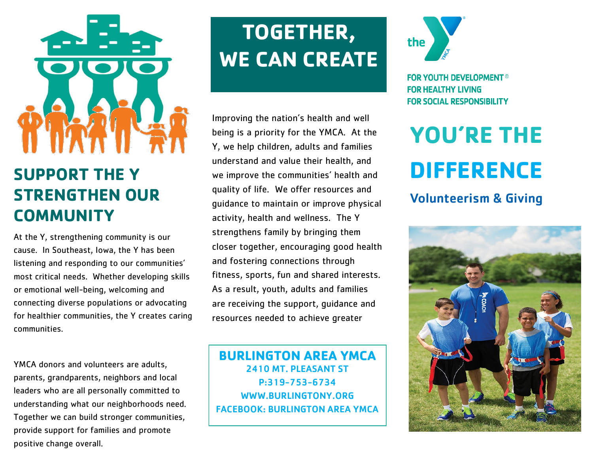

### **SUPPORT THE Y STRENGTHEN OUR COMMUNITY**

At the Y, strengthening community is our cause. In Southeast, Iowa, the Y has been listening and responding to our communities' most critical needs. Whether developing skills or emotional well-being, welcoming and connecting diverse populations or advocating for healthier communities, the Y creates caring communities.

YMCA donors and volunteers are adults, parents, grandparents, neighbors and local leaders who are all personally committed to understanding what our neighborhoods need. Together we can build stronger communities, provide support for families and promote positive change overall.

## **TOGETHER, WE CAN CREATE**

Improving the nation's health and well being is a priority for the YMCA. At the Y, we help children, adults and families understand and value their health, and we improve the communities' health and quality of life. We offer resources and guidance to maintain or improve physical activity, health and wellness. The Y strengthens family by bringing them closer together, encouraging good health and fostering connections through fitness, sports, fun and shared interests. As a result, youth, adults and families are receiving the support, guidance and resources needed to achieve greater

**BURLINGTON AREA YMCA** 2410 MT. PLEASANT ST P:319-753-6734 WWW.BURLINGTONY.ORG FACEBOOK: BURLINGTON AREA YMCA



**FOR YOUTH DEVELOPMENT<sup>®</sup> FOR HEALTHY LIVING FOR SOCIAL RESPONSIBILITY** 

# **YOU'RE THE DIFFERENCE**

#### Volunteerism & Giving